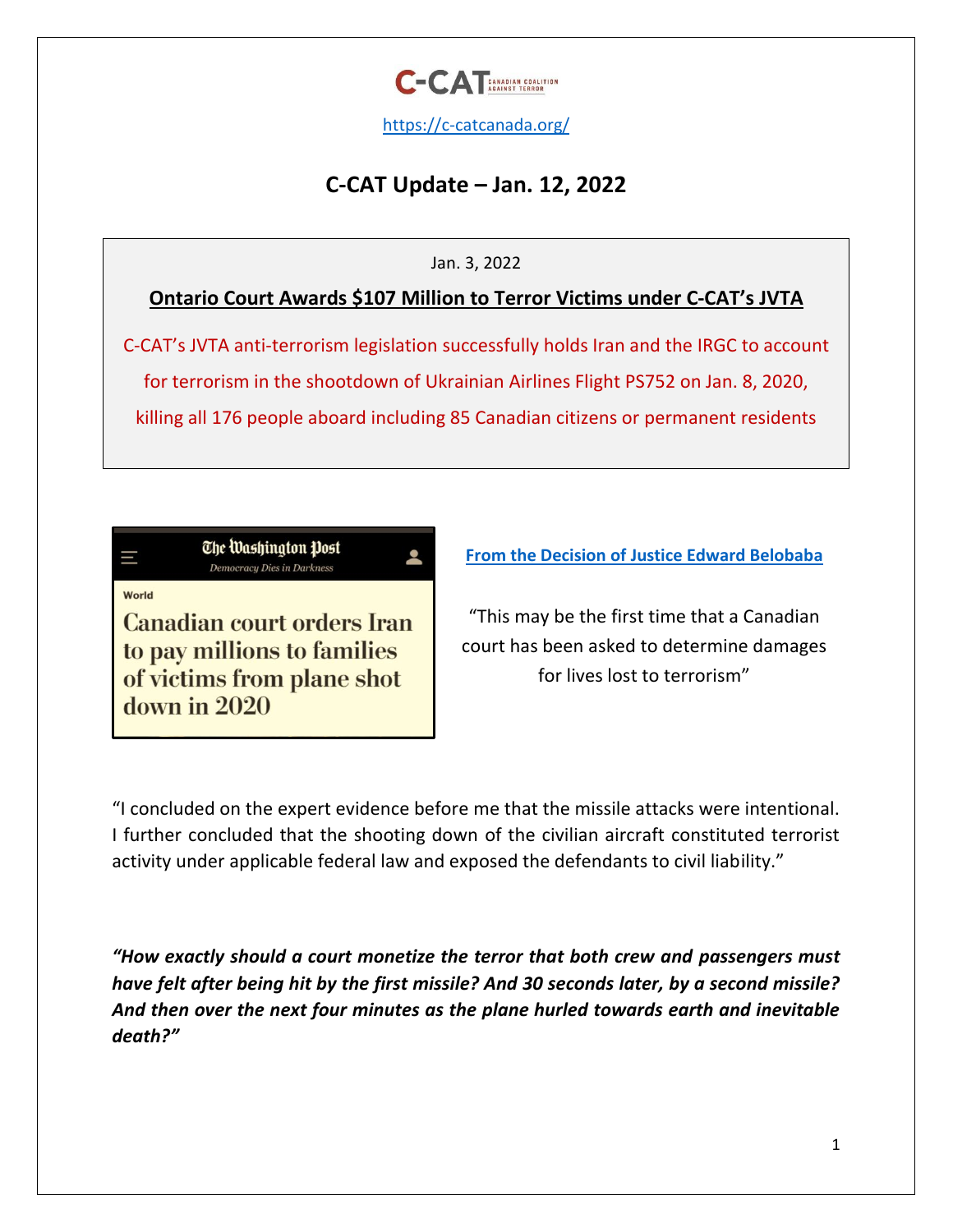

<https://c-catcanada.org/>

# **C-CAT Update – Jan. 12, 2022**

### Jan. 3, 2022

## **Ontario Court Awards \$107 Million to Terror Victims under C-CAT's JVTA**

C-CAT's JVTA anti-terrorism legislation successfully holds Iran and the IRGC to account for terrorism in the shootdown of Ukrainian Airlines Flight PS752 on Jan. 8, 2020, killing all 176 people aboard including 85 Canadian citizens or permanent residents



World

**Canadian court orders Iran** to pay millions to families of victims from plane shot down in 2020

**[From the Decision of Justice Edward Belobaba](https://static1.squarespace.com/static/5e2c96399357e236fda551a5/t/61d339545d4c6e16f3571532/1641232724567/Zarei+v.+Iran+Damages.pdf)**

"This may be the first time that a Canadian court has been asked to determine damages for lives lost to terrorism"

"I concluded on the expert evidence before me that the missile attacks were intentional. I further concluded that the shooting down of the civilian aircraft constituted terrorist activity under applicable federal law and exposed the defendants to civil liability."

*"How exactly should a court monetize the terror that both crew and passengers must have felt after being hit by the first missile? And 30 seconds later, by a second missile? And then over the next four minutes as the plane hurled towards earth and inevitable death?"*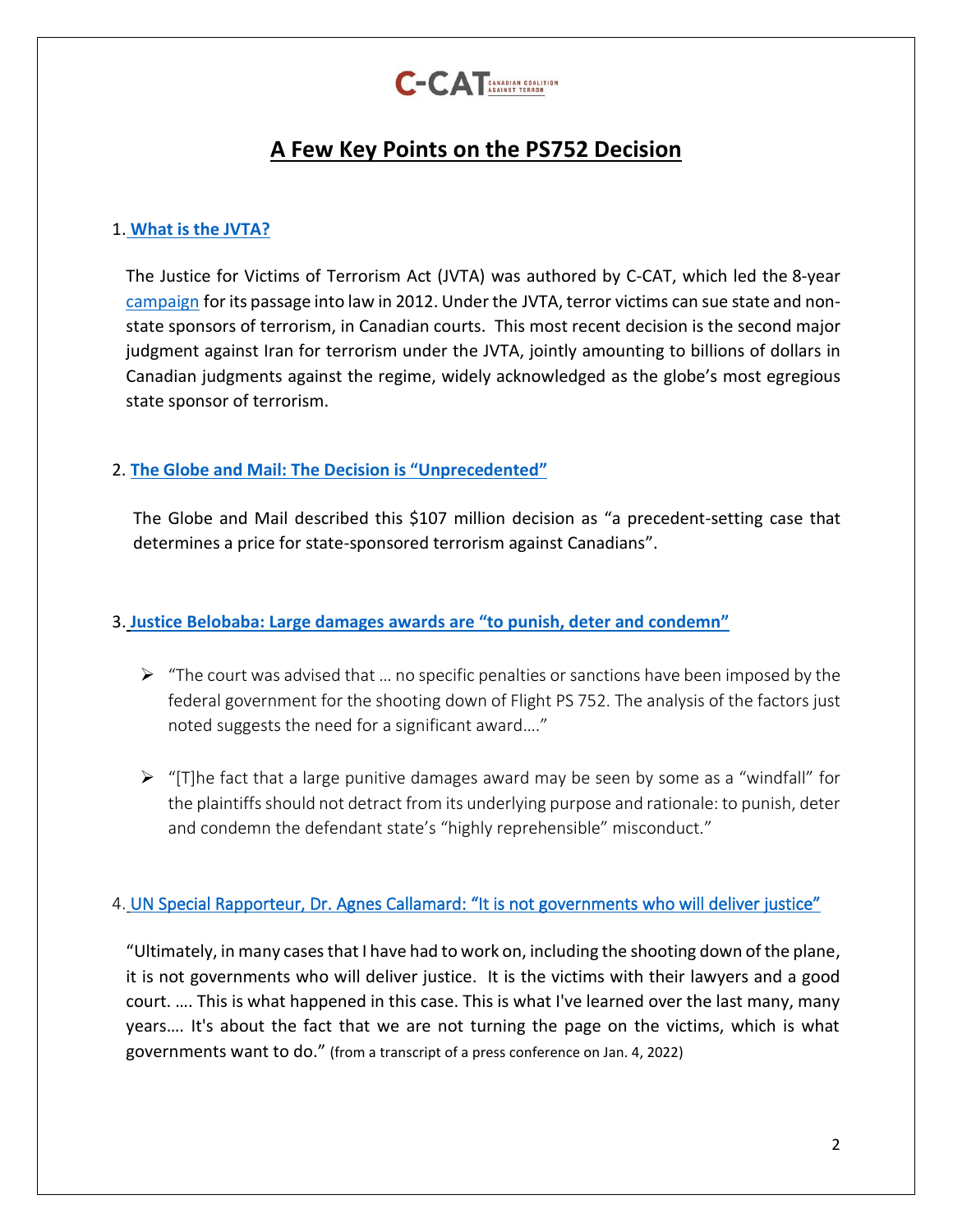

# **A Few Key Points on the PS752 Decision**

### 1. **[What is the JVTA?](https://c-catcanada.org/jvta/jvta-summary/)**

The Justice for Victims of Terrorism Act (JVTA) was authored by C-CAT, which led the [8-year](https://c-catcanada.org/jvta/jvta-summary/)  [campaign](https://c-catcanada.org/jvta/jvta-summary/) for its passage into law in 2012. Under the [JVTA,](https://laws-lois.justice.gc.ca/eng/acts/j-2.5/FullText.html) terror victims can sue state and nonstate sponsors of terrorism, in Canadian courts. This most recent decision is the second major judgment against Iran for terrorism under the JVTA, jointly amounting to billions of dollars in Canadian judgments against the regime, widely acknowledged as the globe's most egregious state sponsor of terrorism.

### 2. **[The Globe and Mail: The Decision is](https://www.theglobeandmail.com/canada/article-iran-must-pay-107-million-to-some-families-of-ukraine-jet-downing/) "Unprecedented"**

The Globe and Mail described this \$107 million decision as "a precedent-setting case that determines a price for state-sponsored terrorism against Canadians".

### 3. **Justice Belobaba: Large damages awards are "[to punish, deter and condemn](https://static1.squarespace.com/static/5e2c96399357e236fda551a5/t/61d339545d4c6e16f3571532/1641232724567/Zarei+v.+Iran+Damages.pdf)"**

- $\triangleright$  "The court was advised that ... no specific penalties or sanctions have been imposed by the federal government for the shooting down of Flight PS 752. The analysis of the factors just noted suggests the need for a significant award…."
- ➢ "[T]he fact that a large punitive damages award may be seen by some as a "windfall" for the plaintiffs should not detract from its underlying purpose and rationale: to punish, deter and condemn the defendant state's "highly reprehensible" misconduct."

### 4. UN Special Rapporteur, Dr. Agnes Callamard: "It is not governments who will deliver justice"

"Ultimately, in many cases that I have had to work on, including the shooting down of the plane, it is not governments who will deliver justice. It is the victims with their lawyers and a good court. …. This is what happened in this case. This is what I've learned over the last many, many years…. It's about the fact that we are not turning the page on the victims, which is what governments want to do." (from a transcript of a press conference on Jan. 4, 2022)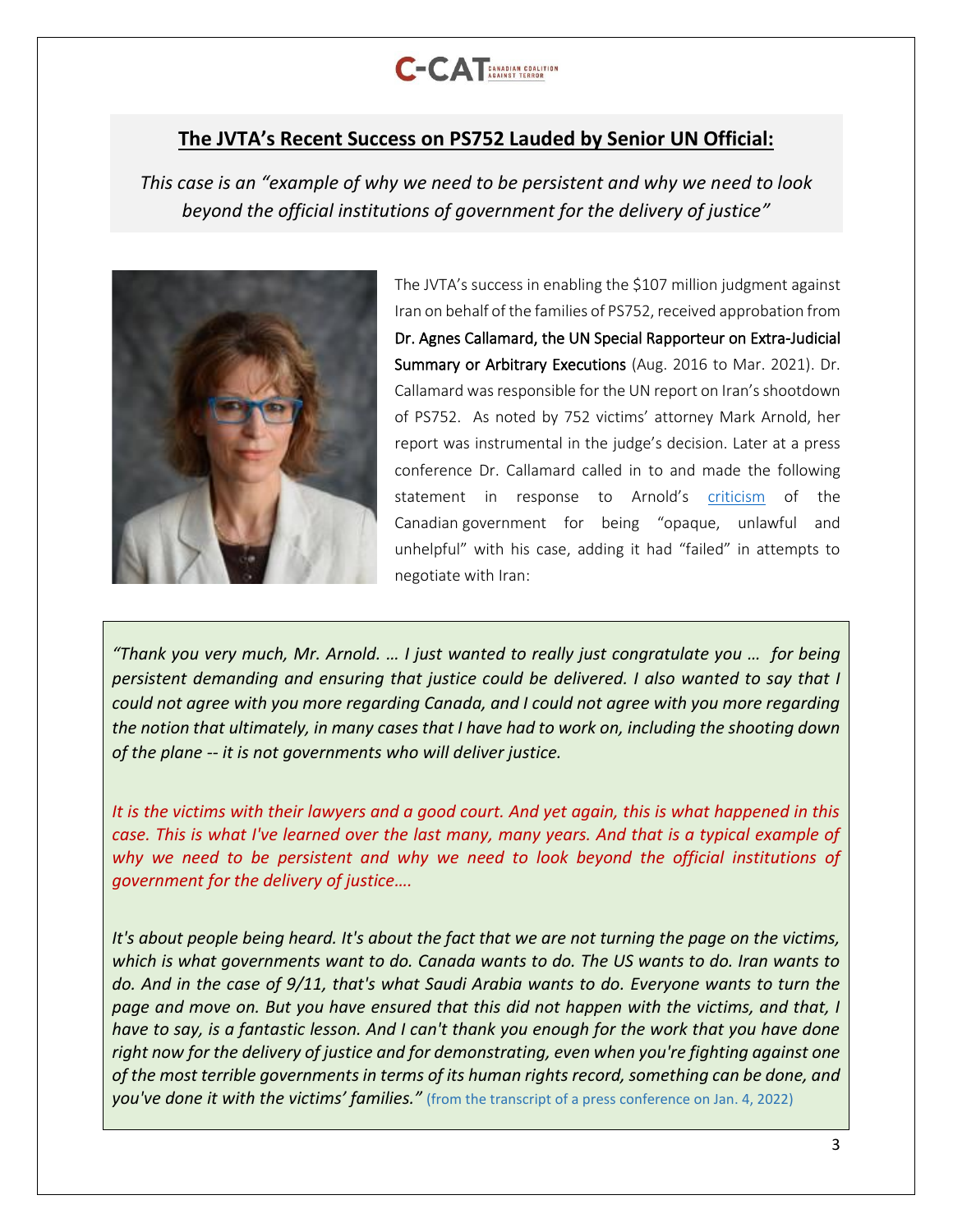

### **The JVTA's Recent Success on PS752 Lauded by Senior UN Official:**

*This case is an "example of why we need to be persistent and why we need to look beyond the official institutions of government for the delivery of justice"*



The JVTA's success in enabling the \$107 million judgment against Iran on behalf of the families of PS752, received approbation from Dr. Agnes Callamard, the UN Special Rapporteur on Extra-Judicial Summary or Arbitrary Executions (Aug. 2016 to Mar. 2021). Dr. Callamard was responsible for the UN report on Iran's shootdown of PS752. As noted by 752 victims' attorney Mark Arnold, her report was instrumental in the judge's decision. Later at a press conference Dr. Callamard called in to and made the following statement in response to Arnold's [criticism](https://www.theglobeandmail.com/canada/article-iran-must-pay-107-million-to-some-families-of-ukraine-jet-downing/) of the Canadian government for being "opaque, unlawful and unhelpful" with his case, adding it had "failed" in attempts to negotiate with Iran:

*"Thank you very much, Mr. Arnold. … I just wanted to really just congratulate you … for being persistent demanding and ensuring that justice could be delivered. I also wanted to say that I could not agree with you more regarding Canada, and I could not agree with you more regarding the notion that ultimately, in many cases that I have had to work on, including the shooting down of the plane -- it is not governments who will deliver justice.*

*It is the victims with their lawyers and a good court. And yet again, this is what happened in this case. This is what I've learned over the last many, many years. And that is a typical example of why we need to be persistent and why we need to look beyond the official institutions of government for the delivery of justice….*

*It's about people being heard. It's about the fact that we are not turning the page on the victims, which is what governments want to do. Canada wants to do. The US wants to do. Iran wants to do. And in the case of 9/11, that's what Saudi Arabia wants to do. Everyone wants to turn the page and move on. But you have ensured that this did not happen with the victims, and that, I have to say, is a fantastic lesson. And I can't thank you enough for the work that you have done right now for the delivery of justice and for demonstrating, even when you're fighting against one of the most terrible governments in terms of its human rights record, something can be done, and you've done it with the victims' families."* (from the transcript of a press conference on Jan. 4, 2022)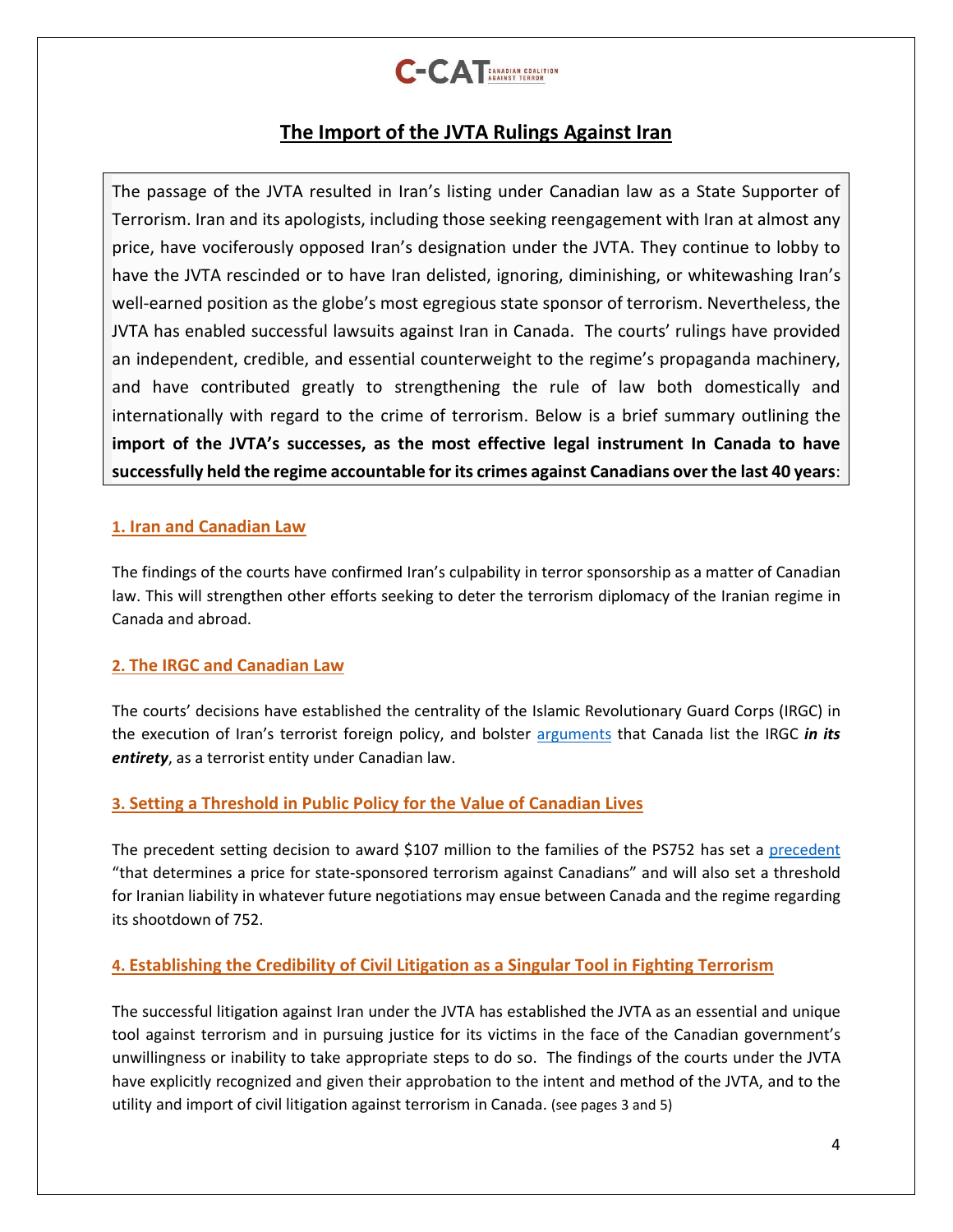

## **The Import of the JVTA Rulings Against Iran**

The passage of the JVTA resulted in Iran's listing under Canadian law as a State Supporter of Terrorism. Iran and its apologists, including those seeking reengagement with Iran at almost any price, have vociferously opposed Iran's designation under the JVTA. They continue to lobby to have the JVTA rescinded or to have Iran delisted, ignoring, diminishing, or whitewashing Iran's well-earned position as the globe's most egregious state sponsor of terrorism. Nevertheless, the JVTA has enabled successful lawsuits against Iran in Canada. The courts' rulings have provided an independent, credible, and essential counterweight to the regime's propaganda machinery, and have contributed greatly to strengthening the rule of law both domestically and internationally with regard to the crime of terrorism. Below is a brief summary outlining the **import of the JVTA's successes, as the most effective legal instrument In Canada to have successfully held the regime accountable for its crimes against Canadians over the last 40 years**:

#### **1. Iran and Canadian Law**

The findings of the courts have confirmed Iran's culpability in terror sponsorship as a matter of Canadian law. This will strengthen other efforts seeking to deter the terrorism diplomacy of the Iranian regime in Canada and abroad.

#### **2. The IRGC and Canadian Law**

The courts' decisions have established the centrality of the Islamic Revolutionary Guard Corps (IRGC) in the execution of Iran's terrorist foreign policy, and bolster [arguments](https://c-catcanada.org/resources/ps752-irgc-terror-listing-past-due/) that Canada list the IRGC *in its entirety*, as a terrorist entity under Canadian law.

#### **3. Setting a Threshold in Public Policy for the Value of Canadian Lives**

The precedent setting decision to award \$107 million to the families of the PS752 has set a [precedent](https://www.theglobeandmail.com/canada/article-iran-must-pay-107-million-to-some-families-of-ukraine-jet-downing/) "that determines a price for state-sponsored terrorism against Canadians" and will also set a threshold for Iranian liability in whatever future negotiations may ensue between Canada and the regime regarding its shootdown of 752.

#### **4. Establishing the Credibility of Civil Litigation as a Singular Tool in Fighting Terrorism**

The successful litigation against Iran under the JVTA has established the JVTA as an essential and unique tool against terrorism and in pursuing justice for its victims in the face of the Canadian government's unwillingness or inability to take appropriate steps to do so. The findings of the courts under the JVTA have explicitly recognized and given their approbation to the intent and method of the JVTA, and to the utility and import of civil litigation against terrorism in Canada. (see pages 3 and 5)